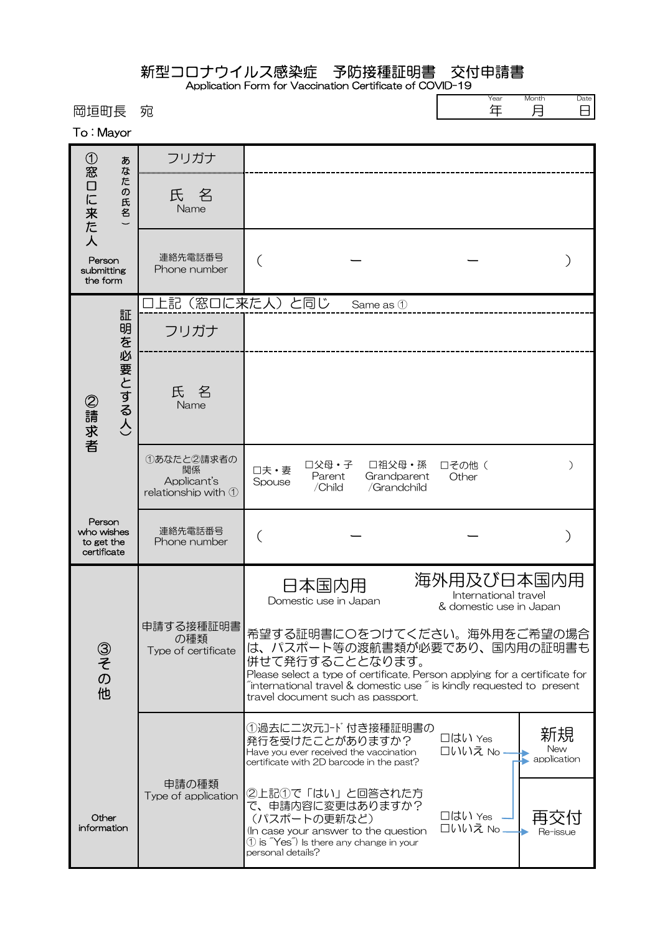## 新型コロナウイルス感染症 予防接種証明書 交付申請書

Application Form for Vaccination Certificate of COVID-19  $\Gamma$ 

Year Month Date

| 岡垣町長<br>To: Mayor                                 |                              | 宛                                                      |                                                                                                                                                                                                                                                                                                  | 年                                                             | 月<br>Н                   |
|---------------------------------------------------|------------------------------|--------------------------------------------------------|--------------------------------------------------------------------------------------------------------------------------------------------------------------------------------------------------------------------------------------------------------------------------------------------------|---------------------------------------------------------------|--------------------------|
|                                                   | あ                            | フリガナ                                                   |                                                                                                                                                                                                                                                                                                  |                                                               |                          |
| ①窓口に来た人                                           | な<br>卮<br>$\sigma$<br>氏<br>名 | 氏名<br>Name                                             |                                                                                                                                                                                                                                                                                                  |                                                               |                          |
| Person<br>submitting<br>the form                  |                              | 連絡先電話番号<br>Phone number                                |                                                                                                                                                                                                                                                                                                  |                                                               |                          |
|                                                   | 証                            | 上記(窓口に来た人)と同じ                                          | Same as 1                                                                                                                                                                                                                                                                                        |                                                               |                          |
| ②請求者                                              |                              | フリガナ                                                   |                                                                                                                                                                                                                                                                                                  |                                                               |                          |
|                                                   | 明を必要とする人)                    | 氏名<br>Name                                             |                                                                                                                                                                                                                                                                                                  |                                                               |                          |
|                                                   |                              | ①あなたと2請求者の<br>関係<br>Applicant's<br>relationship with 1 | □父母・子<br>□祖父母・孫<br>口夫·妻<br>Parent<br>Grandparent<br>Spouse<br>/Child<br>/Grandchild                                                                                                                                                                                                              | □その他 (<br>Other                                               | $\mathcal{E}$            |
| Person<br>who wishes<br>to get the<br>certificate |                              | 連絡先電話番号<br>Phone number                                |                                                                                                                                                                                                                                                                                                  |                                                               |                          |
| ③その他                                              |                              | 申請する接種証明書<br>の種類<br>Type of certificate                | 日本国内用<br>Domestic use in Japan                                                                                                                                                                                                                                                                   | 海外用及び日本国内用<br>International travel<br>& domestic use in Japan |                          |
|                                                   |                              |                                                        | 希望する証明書に〇をつけてください。海外用をご希望の場合<br>は、パスポート等の渡航書類が必要であり、国内用の証明書も<br>併せて発行することとなります。<br>Please select a type of certificate. Person applying for a certificate for<br>$\tilde{a}$ international travel & domestic use $\tilde{a}$ is kindly requested to present<br>travel document such as passport. |                                                               |                          |
|                                                   |                              |                                                        | ①過去に二次元コード付き接種証明書の<br>発行を受けたことがありますか?<br>Have you ever received the vaccination<br>certificate with 2D barcode in the past?                                                                                                                                                                      | □はい Yes<br>□いいえ No.                                           | 新規<br>New<br>application |
| Other<br>information                              |                              | 申請の種類<br>Type of application                           | ②上記①で「はい」と回答された方<br>で、申請内容に変更はありますか?<br>(パスポートの更新など)<br>(In case your answer to the question<br>$\textcircled{1}$ is "Yes") Is there any change in your<br>personal details?                                                                                                                     | □はい Yes<br>口いいえ No                                            | Re-issue                 |